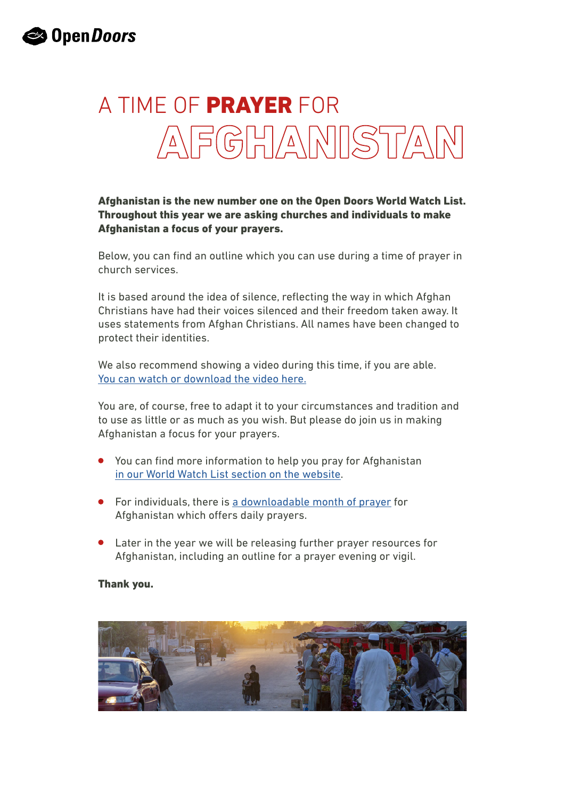# A TIME OF PRAYER FOR AFGHANISTAN

#### Afghanistan is the new number one on the Open Doors World Watch List. Throughout this year we are asking churches and individuals to make Afghanistan a focus of your prayers.

Below, you can find an outline which you can use during a time of prayer in church services.

It is based around the idea of silence, reflecting the way in which Afghan Christians have had their voices silenced and their freedom taken away. It uses statements from Afghan Christians. All names have been changed to protect their identities.

We also recommend showing a video during this time, if you are able. [You can watch or download the video here.](https://vimeo.com/667285059)

You are, of course, free to adapt it to your circumstances and tradition and to use as little or as much as you wish. But please do join us in making Afghanistan a focus for your prayers.

- You can find more information to help you pray for Afghanistan [in our World Watch List section on the website](https://www.opendoorsuk.org/persecution/world-watch-list/afghanistan/).
- For individuals, there is [a downloadable month of prayer](https://media.opendoorsuk.org/document/pdf/2022-MonthofPrayerforAfghanistan.pdf) for Afghanistan which offers daily prayers.
- Later in the year we will be releasing further prayer resources for Afghanistan, including an outline for a prayer evening or vigil.

#### Thank you.